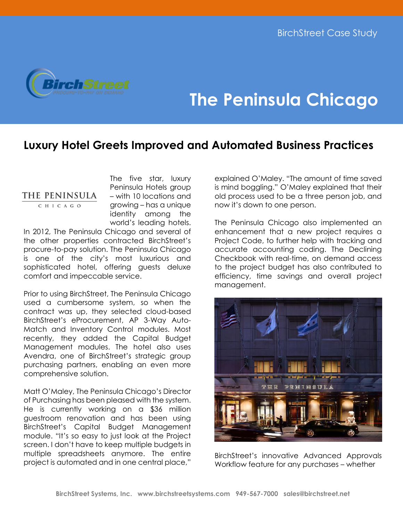

## **The Peninsula Chicago**

## **Luxury Hotel Greets Improved and Automated Business Practices**

## THE PENINSULA

CHICAGO

The five star, luxury Peninsula Hotels group – with 10 locations and growing – has a unique identity among the world's leading hotels.

In 2012, The Peninsula Chicago and several of the other properties contracted BirchStreet's procure-to-pay solution. The Peninsula Chicago is one of the city's most luxurious and sophisticated hotel, offering guests deluxe comfort and impeccable service.

Prior to using BirchStreet, The Peninsula Chicago used a cumbersome system, so when the contract was up, they selected cloud-based BirchStreet's eProcurement, AP 3-Way Auto-Match and Inventory Control modules. Most recently, they added the Capital Budget Management modules. The hotel also uses Avendra, one of BirchStreet's strategic group purchasing partners, enabling an even more comprehensive solution.

Matt O'Maley, The Peninsula Chicago's Director of Purchasing has been pleased with the system. He is currently working on a \$36 million guestroom renovation and has been using BirchStreet's Capital Budget Management module. "It's so easy to just look at the Project screen. I don't have to keep multiple budgets in multiple spreadsheets anymore. The entire project is automated and in one central place,"

explained O'Maley. "The amount of time saved is mind boggling." O'Maley explained that their old process used to be a three person job, and now it's down to one person.

The Peninsula Chicago also implemented an enhancement that a new project requires a Project Code, to further help with tracking and accurate accounting coding. The Declining Checkbook with real-time, on demand access to the project budget has also contributed to efficiency, time savings and overall project management.



BirchStreet's innovative Advanced Approvals Workflow feature for any purchases – whether